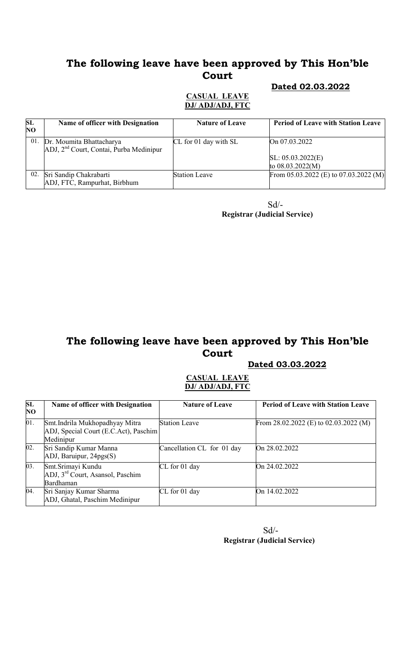#### Dated 02.03.2022

#### CASUAL LEAVE DJ/ ADJ/ADJ, FTC

| SL<br>NO. | Name of officer with Designation                                                | <b>Nature of Leave</b> | <b>Period of Leave with Station Leave</b> |
|-----------|---------------------------------------------------------------------------------|------------------------|-------------------------------------------|
| 01.       | Dr. Moumita Bhattacharya<br>ADJ, 2 <sup>nd</sup> Court, Contai, Purba Medinipur | CL for 01 day with SL  | On 07.03.2022                             |
|           |                                                                                 |                        | SL: 05.03.2022(E)<br>to $08.03.2022(M)$   |
| 02.       | Sri Sandip Chakrabarti<br>ADJ, FTC, Rampurhat, Birbhum                          | <b>Station Leave</b>   | From 05.03.2022 (E) to 07.03.2022 (M)     |

 Sd/- Registrar (Judicial Service)

# The following leave have been approved by This Hon'ble Court

#### Dated 03.03.2022

#### CASUAL LEAVE DJ/ ADJ/ADJ, FTC

| SL<br>N <sub>O</sub> | <b>Name of officer with Designation</b>                                               | <b>Nature of Leave</b>     | <b>Period of Leave with Station Leave</b> |
|----------------------|---------------------------------------------------------------------------------------|----------------------------|-------------------------------------------|
| 01.                  | Smt. Indrila Mukhopadhyay Mitra<br>ADJ, Special Court (E.C.Act), Paschim<br>Medinipur | <b>Station Leave</b>       | From $28.02.2022$ (E) to $02.03.2022$ (M) |
| 02.                  | Sri Sandip Kumar Manna<br>ADJ, Baruipur, 24pgs(S)                                     | Cancellation CL for 01 day | On 28.02.2022                             |
| 03.                  | Smt. Srimayi Kundu<br>ADJ, 3 <sup>rd</sup> Court, Asansol, Paschim<br>Bardhaman       | $CL$ for 01 day            | On 24.02.2022                             |
| 04.                  | Sri Sanjay Kumar Sharma<br>ADJ, Ghatal, Paschim Medinipur                             | $CL$ for 01 day            | On 14.02.2022                             |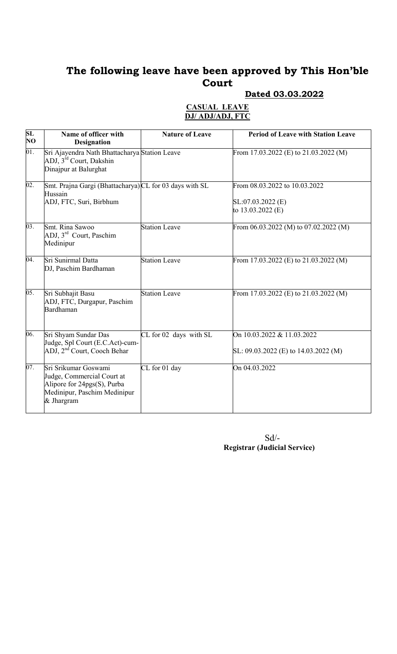# Dated 03.03.2022

### CASUAL LEAVE DJ/ ADJ/ADJ, FTC

| SL<br>$\overline{N}\overline{O}$ | Name of officer with<br><b>Designation</b>                                                                                      | <b>Nature of Leave</b> | <b>Period of Leave with Station Leave</b>                                   |
|----------------------------------|---------------------------------------------------------------------------------------------------------------------------------|------------------------|-----------------------------------------------------------------------------|
| 01.                              | Sri Ajayendra Nath Bhattacharya Station Leave<br>ADJ, 3rd Court, Dakshin<br>Dinajpur at Balurghat                               |                        | From 17.03.2022 (E) to $21.03.2022$ (M)                                     |
| 02.                              | Smt. Prajna Gargi (Bhattacharya) CL for 03 days with SL<br>Hussain<br>ADJ, FTC, Suri, Birbhum                                   |                        | From 08.03.2022 to 10.03.2022<br>$SL:07.03.2022$ (E)<br>to $13.03.2022$ (E) |
| 03.                              | Smt. Rina Sawoo<br>ADJ, 3 <sup>rd</sup> Court, Paschim<br>Medinipur                                                             | <b>Station Leave</b>   | From $06.03.2022$ (M) to $07.02.2022$ (M)                                   |
| 04.                              | Sri Sunirmal Datta<br>DJ, Paschim Bardhaman                                                                                     | <b>Station Leave</b>   | From 17.03.2022 (E) to 21.03.2022 (M)                                       |
| 05.                              | Sri Subhajit Basu<br>ADJ, FTC, Durgapur, Paschim<br>Bardhaman                                                                   | <b>Station Leave</b>   | From 17.03.2022 (E) to 21.03.2022 (M)                                       |
| 06.                              | Sri Shyam Sundar Das<br>Judge, Spl Court (E.C.Act)-cum-<br>ADJ, 2 <sup>nd</sup> Court, Cooch Behar                              | CL for 02 days with SL | On 10.03.2022 & 11.03.2022<br>SL: $09.03.2022$ (E) to $14.03.2022$ (M)      |
| 07.                              | Sri Srikumar Goswami<br>Judge, Commercial Court at<br>Alipore for 24pgs(S), Purba<br>Medinipur, Paschim Medinipur<br>& Jhargram | CL for 01 day          | On 04.03.2022                                                               |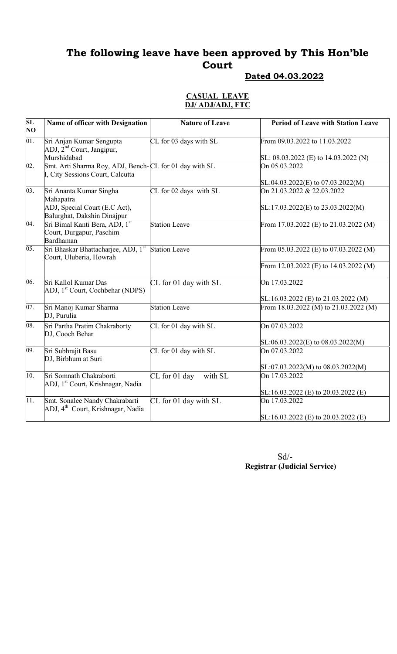## Dated 04.03.2022

#### CASUAL LEAVE DJ/ ADJ/ADJ, FTC

| SL<br>NO | Name of officer with Designation                                                           | <b>Nature of Leave</b>   | <b>Period of Leave with Station Leave</b> |
|----------|--------------------------------------------------------------------------------------------|--------------------------|-------------------------------------------|
| 01.      | Sri Anjan Kumar Sengupta<br>ADJ, 2 <sup>nd</sup> Court, Jangipur,                          | CL for 03 days with SL   | From 09.03.2022 to 11.03.2022             |
|          | Murshidabad                                                                                |                          | SL: 08.03.2022 (E) to 14.03.2022 (N)      |
| 02.      | Smt. Arti Sharma Roy, ADJ, Bench-CL for 01 day with SL<br>I, City Sessions Court, Calcutta |                          | On 05.03.2022                             |
|          |                                                                                            |                          | SL:04.03.2022(E) to 07.03.2022(M)         |
| 03.      | Sri Ananta Kumar Singha<br>Mahapatra                                                       | CL for 02 days with SL   | On 21.03.2022 & 22.03.2022                |
|          | ADJ, Special Court (E.C Act),<br>Balurghat, Dakshin Dinajpur                               |                          | SL:17.03.2022(E) to 23.03.2022(M)         |
| 04.      | Sri Bimal Kanti Bera, ADJ, 1st<br>Court, Durgapur, Paschim<br>Bardhaman                    | <b>Station Leave</b>     | From 17.03.2022 (E) to $21.03.2022$ (M)   |
| 05.      | Sri Bhaskar Bhattacharjee, ADJ, 1st<br>Court, Uluberia, Howrah                             | <b>Station Leave</b>     | From 05.03.2022 (E) to 07.03.2022 (M)     |
|          |                                                                                            |                          | From 12.03.2022 (E) to 14.03.2022 (M)     |
| 06.      | Sri Kallol Kumar Das<br>ADJ, 1 <sup>st</sup> Court, Cochbehar (NDPS)                       | CL for 01 day with SL    | On 17.03.2022                             |
|          |                                                                                            |                          | SL:16.03.2022 (E) to 21.03.2022 (M)       |
| 07.      | Sri Manoj Kumar Sharma<br>DJ, Purulia                                                      | <b>Station Leave</b>     | From 18.03.2022 (M) to 21.03.2022 (M)     |
| 08.      | Sri Partha Pratim Chakraborty<br>DJ, Cooch Behar                                           | CL for 01 day with SL    | On 07.03.2022                             |
|          |                                                                                            |                          | $SL:06.03.2022(E)$ to 08.03.2022(M)       |
| 09.      | Sri Subhrajit Basu<br>DJ, Birbhum at Suri                                                  | CL for 01 day with SL    | On 07.03.2022                             |
|          |                                                                                            |                          | SL:07.03.2022(M) to 08.03.2022(M)         |
| 10.      | Sri Somnath Chakraborti<br>ADJ, 1 <sup>st</sup> Court, Krishnagar, Nadia                   | CL for 01 day<br>with SL | On 17.03.2022                             |
|          |                                                                                            |                          | SL:16.03.2022 (E) to 20.03.2022 (E)       |
| 11.      | Smt. Sonalee Nandy Chakrabarti<br>ADJ, 4 <sup>th</sup> Court, Krishnagar, Nadia            | CL for 01 day with SL    | On 17.03.2022                             |
|          |                                                                                            |                          | $SL:16.03.2022$ (E) to 20.03.2022 (E)     |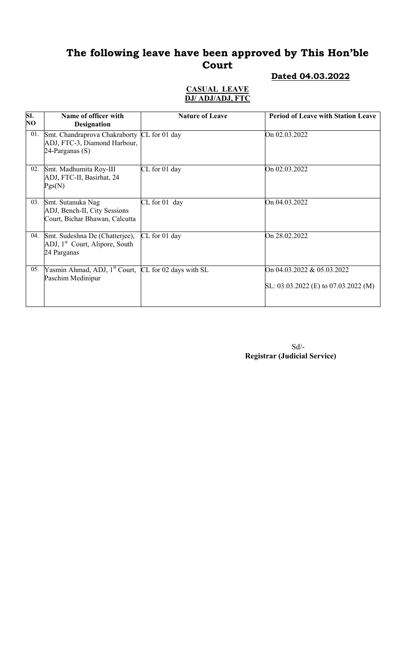### Dated 04.03.2022

#### CASUAL LEAVE DJ/ ADJ/ADJ, FTC

| SL<br>NO | Name of officer with<br><b>Designation</b>                                                          | <b>Nature of Leave</b> | <b>Period of Leave with Station Leave</b>                              |
|----------|-----------------------------------------------------------------------------------------------------|------------------------|------------------------------------------------------------------------|
| 01.      | Smt. Chandraprova Chakraborty CL for 01 day<br>ADJ, FTC-3, Diamond Harbour,<br>$24$ -Parganas $(S)$ |                        | On 02.03.2022                                                          |
| 02.      | Smt. Madhumita Roy-III<br>ADJ, FTC-II, Basirhat, 24<br>Pgs(N)                                       | CL for 01 day          | On 02.03.2022                                                          |
| 03.      | Smt. Sutanuka Nag<br>ADJ, Bench-II, City Sessions<br>Court, Bichar Bhawan, Calcutta                 | $CL$ for 01 day        | On 04.03.2022                                                          |
| 04.      | Smt. Sudeshna De (Chatterjee),<br>ADJ, 1 <sup>st</sup> Court, Alipore, South<br>24 Parganas         | CL for 01 day          | On 28.02.2022                                                          |
| 05.      | Yasmin Ahmad, ADJ, 1 <sup>st</sup> Court, CL for 02 days with SL<br>Paschim Medinipur               |                        | On 04.03.2022 & 05.03.2022<br>SL: $03.03.2022$ (E) to $07.03.2022$ (M) |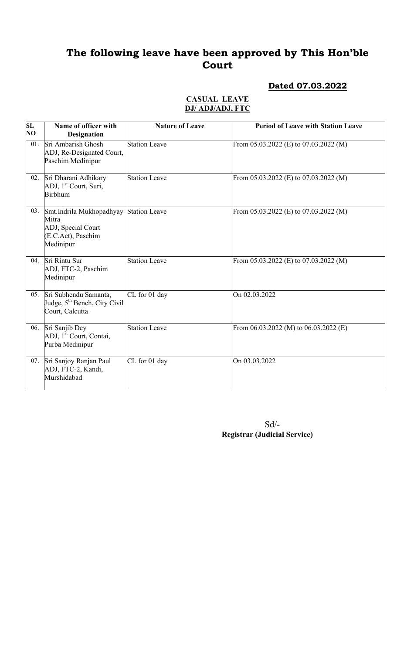## Dated 07.03.2022

#### CASUAL LEAVE DJ/ ADJ/ADJ, FTC

| SL<br><b>NO</b> | Name of officer with<br><b>Designation</b>                                                 | <b>Nature of Leave</b> | <b>Period of Leave with Station Leave</b> |
|-----------------|--------------------------------------------------------------------------------------------|------------------------|-------------------------------------------|
| 01.             | Sri Ambarish Ghosh<br>ADJ, Re-Designated Court,<br>Paschim Medinipur                       | Station Leave          | From $05.03.2022$ (E) to $07.03.2022$ (M) |
| 02.             | Sri Dharani Adhikary<br>ADJ, 1 <sup>st</sup> Court, Suri,<br><b>Birbhum</b>                | <b>Station Leave</b>   | From 05.03.2022 (E) to 07.03.2022 (M)     |
| 03.             | Smt.Indrila Mukhopadhyay<br>Mitra<br>ADJ, Special Court<br>(E.C.Act), Paschim<br>Medinipur | <b>Station Leave</b>   | From $05.03.2022$ (E) to $07.03.2022$ (M) |
| 04.             | Sri Rintu Sur<br>ADJ, FTC-2, Paschim<br>Medinipur                                          | <b>Station Leave</b>   | From 05.03.2022 (E) to 07.03.2022 (M)     |
| 05.             | Sri Subhendu Samanta,<br>Judge, 5 <sup>th</sup> Bench, City Civil<br>Court, Calcutta       | CL for 01 day          | On 02.03.2022                             |
|                 | 06. Sri Sanjib Dey<br>ADJ, 1 <sup>st</sup> Court, Contai,<br>Purba Medinipur               | Station Leave          | From 06.03.2022 (M) to 06.03.2022 (E)     |
| 07.             | Sri Sanjoy Ranjan Paul<br>ADJ, FTC-2, Kandi,<br>Murshidabad                                | CL for 01 day          | On 03.03.2022                             |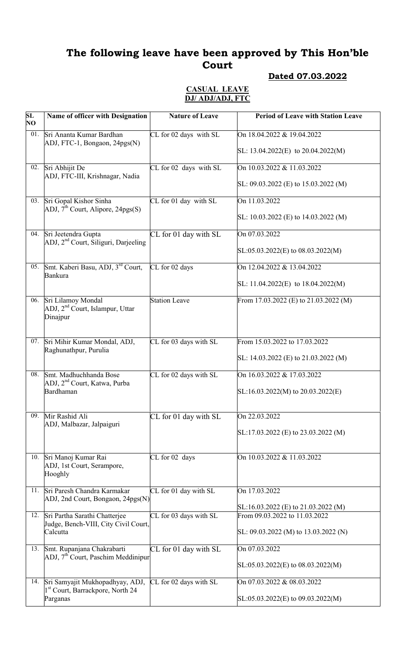## Dated 07.03.2022

#### CASUAL LEAVE DJ/ ADJ/ADJ, FTC

| SL<br>NO | Name of officer with Designation                                                          | <b>Nature of Leave</b> | <b>Period of Leave with Station Leave</b>                            |
|----------|-------------------------------------------------------------------------------------------|------------------------|----------------------------------------------------------------------|
| 01.      | Sri Ananta Kumar Bardhan<br>ADJ, FTC-1, Bongaon, 24pgs(N)                                 | CL for 02 days with SL | On 18.04.2022 & 19.04.2022<br>SL: $13.04.2022(E)$ to $20.04.2022(M)$ |
| 02.      | Sri Abhijit De<br>ADJ, FTC-III, Krishnagar, Nadia                                         | CL for 02 days with SL | On 10.03.2022 & 11.03.2022                                           |
|          |                                                                                           |                        | SL: $09.03.2022$ (E) to 15.03.2022 (M)                               |
| 03.      | Sri Gopal Kishor Sinha<br>ADJ, $\tilde{\mathcal{I}}^{\text{th}}$ Court, Alipore, 24pgs(S) | CL for 01 day with SL  | On 11.03.2022<br>SL: 10.03.2022 (E) to 14.03.2022 (M)                |
| 04.      | Sri Jeetendra Gupta<br>ADJ, 2 <sup>nd</sup> Court, Siliguri, Darjeeling                   | CL for 01 day with SL  | On 07.03.2022                                                        |
|          |                                                                                           |                        | $SL:05.03.2022(E)$ to 08.03.2022(M)                                  |
|          | 05. Smt. Kaberi Basu, ADJ, 3rd Court,<br><b>Bankura</b>                                   | CL for 02 days         | On 12.04.2022 & 13.04.2022                                           |
|          |                                                                                           |                        | SL: 11.04.2022(E) to $18.04.2022(M)$                                 |
| 06.      | Sri Lilamoy Mondal<br>ADJ, 2 <sup>nd</sup> Court, Islampur, Uttar<br>Dinajpur             | <b>Station Leave</b>   | From 17.03.2022 (E) to $21.03.2022$ (M)                              |
|          | 07. Sri Mihir Kumar Mondal, ADJ,                                                          | CL for 03 days with SL | From 15.03.2022 to 17.03.2022                                        |
|          | Raghunathpur, Purulia                                                                     |                        | SL: 14.03.2022 (E) to 21.03.2022 (M)                                 |
| 08.      | Smt. Madhuchhanda Bose<br>ADJ, 2 <sup>nd</sup> Court, Katwa, Purba                        | CL for 02 days with SL | On 16.03.2022 & 17.03.2022                                           |
|          | Bardhaman                                                                                 |                        | $SL:16.03.2022(M)$ to 20.03.2022(E)                                  |
| 09.      | Mir Rashid Ali<br>ADJ, Malbazar, Jalpaiguri                                               | CL for 01 day with SL  | On 22.03.2022                                                        |
|          |                                                                                           |                        | SL:17.03.2022 (E) to 23.03.2022 (M)                                  |
|          | 10. Sri Manoj Kumar Rai<br>ADJ, 1st Court, Serampore,<br>Hooghly                          | CL for 02 days         | On 10.03.2022 & 11.03.2022                                           |
| 11.      | Sri Paresh Chandra Karmakar<br>ADJ, 2nd Court, Bongaon, 24pgs(N)                          | CL for 01 day with SL  | On 17.03.2022<br>$SL:16.03.2022$ (E) to 21.03.2022 (M)               |
| 12.      | Sri Partha Sarathi Chatterjee<br>Judge, Bench-VIII, City Civil Court,                     | CL for 03 days with SL | From 09.03.2022 to 11.03.2022                                        |
|          | Calcutta                                                                                  |                        | SL: 09.03.2022 (M) to 13.03.2022 (N)                                 |
| 13.      | Smt. Rupanjana Chakrabarti<br>ADJ, 7 <sup>th</sup> Court, Paschim Meddinipur              | CL for 01 day with SL  | On 07.03.2022                                                        |
|          |                                                                                           |                        | $SL: 05.03.2022(E)$ to $08.03.2022(M)$                               |
|          | 14. Sri Samyajit Mukhopadhyay, ADJ,<br>1 <sup>st</sup> Court, Barrackpore, North 24       | CL for 02 days with SL | On 07.03.2022 & 08.03.2022                                           |
|          | Parganas                                                                                  |                        | $SL: 05.03.2022(E)$ to 09.03.2022(M)                                 |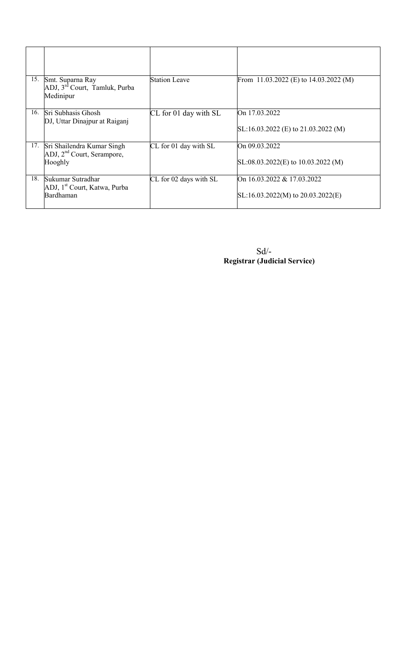| 15. | Smt. Suparna Ray<br>ADJ, 3 <sup>rd</sup> Court, Tamluk, Purba<br>Medinipur | <b>Station Leave</b>   | From 11.03.2022 (E) to $14.03.2022$ (M)                           |
|-----|----------------------------------------------------------------------------|------------------------|-------------------------------------------------------------------|
| 16. | Sri Subhasis Ghosh<br>DJ, Uttar Dinajpur at Raiganj                        | CL for 01 day with SL  | On 17.03.2022<br>SL:16.03.2022 (E) to 21.03.2022 (M)              |
| 17. | Sri Shailendra Kumar Singh<br>ADJ, $2nd$ Court, Serampore,<br>Hooghly      | CL for 01 day with SL  | On 09.03.2022<br>$SL:08.03.2022(E)$ to 10.03.2022 (M)             |
| 18. | Sukumar Sutradhar<br>ADJ, 1 <sup>st</sup> Court, Katwa, Purba<br>Bardhaman | CL for 02 days with SL | On 16.03.2022 & 17.03.2022<br>$SL:16.03.2022(M)$ to 20.03.2022(E) |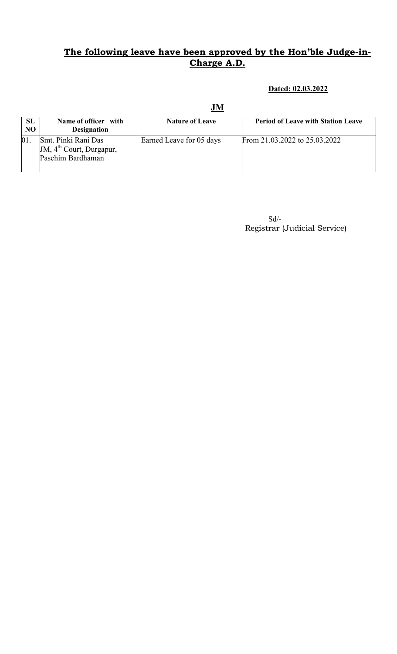Dated: 02.03.2022

| <b>SL</b><br>N <sub>O</sub> | Name of officer with<br><b>Designation</b>                                       | <b>Nature of Leave</b>   | <b>Period of Leave with Station Leave</b> |
|-----------------------------|----------------------------------------------------------------------------------|--------------------------|-------------------------------------------|
|                             | Smt. Pinki Rani Das<br>JM, 4 <sup>th</sup> Court, Durgapur,<br>Paschim Bardhaman | Earned Leave for 05 days | From 21.03.2022 to 25.03.2022             |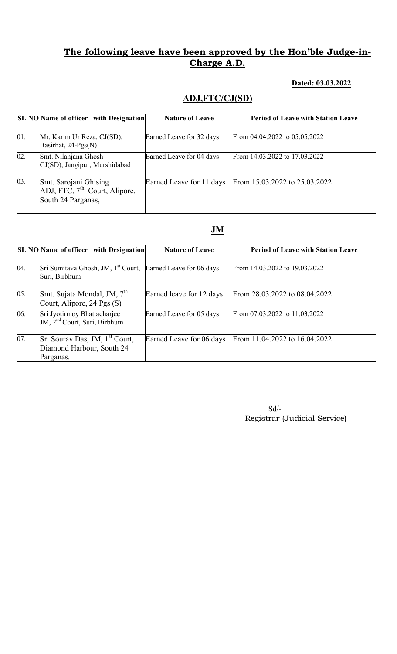### Dated: 03.03.2022

# ADJ,FTC/CJ(SD)

|                   | <b>SL NO</b> Name of officer with Designation                                            | <b>Nature of Leave</b>   | <b>Period of Leave with Station Leave</b> |
|-------------------|------------------------------------------------------------------------------------------|--------------------------|-------------------------------------------|
| 01.               | Mr. Karim Ur Reza, CJ(SD),<br>Basirhat, 24-Pgs(N)                                        | Earned Leave for 32 days | From 04.04.2022 to 05.05.2022             |
| $\overline{02}$ . | Smt. Nilanjana Ghosh<br>CJ(SD), Jangipur, Murshidabad                                    | Earned Leave for 04 days | From 14.03.2022 to 17.03.2022             |
| 03.               | Smt. Sarojani Ghising<br>ADJ, FTC, 7 <sup>th</sup> Court, Alipore,<br>South 24 Parganas, | Earned Leave for 11 days | From 15.03.2022 to 25.03.2022             |

## JM

|     | <b>SL NO</b> Name of officer with Designation                                            | <b>Nature of Leave</b>   | <b>Period of Leave with Station Leave</b> |
|-----|------------------------------------------------------------------------------------------|--------------------------|-------------------------------------------|
| 04. | Sri Sumitava Ghosh, JM, 1 <sup>st</sup> Court, Earned Leave for 06 days<br>Suri, Birbhum |                          | From 14.03.2022 to 19.03.2022             |
| 05. | Smt. Sujata Mondal, JM, 7 <sup>th</sup><br>Court, Alipore, 24 Pgs (S)                    | Earned leave for 12 days | From 28.03.2022 to 08.04.2022             |
| 06. | Sri Jyotirmoy Bhattacharjee<br>JM, 2 <sup>nd</sup> Court, Suri, Birbhum                  | Earned Leave for 05 days | From 07.03.2022 to 11.03.2022             |
| 07. | Sri Sourav Das, JM, 1 <sup>st</sup> Court,<br>Diamond Harbour, South 24<br>Parganas.     | Earned Leave for 06 days | From 11.04.2022 to 16.04.2022             |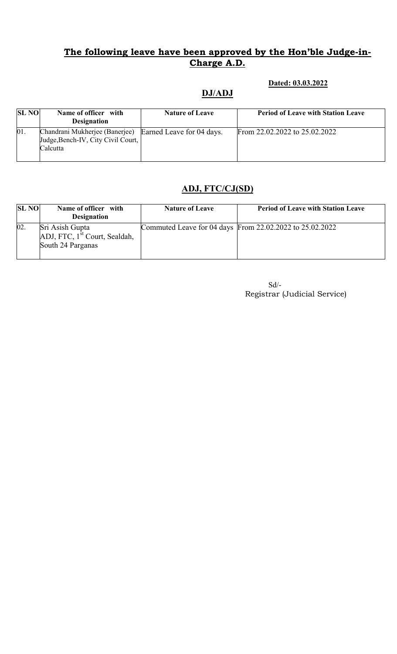DJ/ADJ

### Dated: 03.03.2022

| <b>SL NO</b> | Name of officer with<br><b>Designation</b>                                                                 | <b>Nature of Leave</b> | <b>Period of Leave with Station Leave</b> |
|--------------|------------------------------------------------------------------------------------------------------------|------------------------|-------------------------------------------|
| 01.          | Chandrani Mukherjee (Banerjee) Earned Leave for 04 days.<br>Judge, Bench-IV, City Civil Court,<br>Calcutta |                        | From 22,02,2022 to 25,02,2022             |

# ADJ, FTC/CJ(SD)

| <b>SL NO</b> | Name of officer with<br><b>Designation</b>                                        | <b>Nature of Leave</b> | <b>Period of Leave with Station Leave</b>                |
|--------------|-----------------------------------------------------------------------------------|------------------------|----------------------------------------------------------|
| 02.          | Sri Asish Gupta<br>ADJ, FTC, 1 <sup>st</sup> Court, Sealdah,<br>South 24 Parganas |                        | Commuted Leave for 04 days From 22.02.2022 to 25.02.2022 |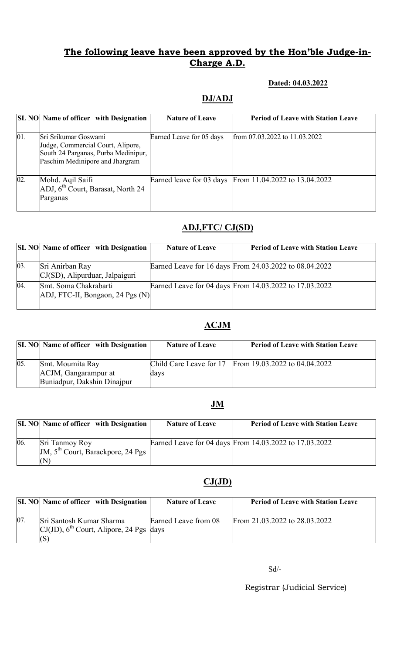### Dated: 04.03.2022

## DJ/ADJ

|     | <b>SL NO</b> Name of officer with Designation                                                                                       | <b>Nature of Leave</b>   | <b>Period of Leave with Station Leave</b>              |
|-----|-------------------------------------------------------------------------------------------------------------------------------------|--------------------------|--------------------------------------------------------|
| 01. | Sri Srikumar Goswami<br>Judge, Commercial Court, Alipore,<br>South 24 Parganas, Purba Medinipur,<br>Paschim Medinipore and Jhargram | Earned Leave for 05 days | from 07.03.2022 to 11.03.2022                          |
| 02. | Mohd. Aqil Saifi<br>ADJ, 6 <sup>th</sup> Court, Barasat, North 24<br>Parganas                                                       |                          | Earned leave for 03 days From 11.04.2022 to 13.04.2022 |

# ADJ,FTC/ CJ(SD)

|     | <b>SL NO</b> Name of officer with Designation             | <b>Nature of Leave</b> | <b>Period of Leave with Station Leave</b>              |
|-----|-----------------------------------------------------------|------------------------|--------------------------------------------------------|
| 03. | Sri Anirban Ray<br>CJ(SD), Alipurduar, Jalpaiguri         |                        | Earned Leave for 16 days From 24.03.2022 to 08.04.2022 |
| 04. | Smt. Soma Chakrabarti<br>ADJ, FTC-II, Bongaon, 24 Pgs (N) |                        | Earned Leave for 04 days From 14.03.2022 to 17.03.2022 |

## ACJM

|     | <b>SL NO</b> Name of officer with Designation                           | <b>Nature of Leave</b> | <b>Period of Leave with Station Leave</b>             |
|-----|-------------------------------------------------------------------------|------------------------|-------------------------------------------------------|
| 05. | Smt. Moumita Ray<br>ACJM, Gangarampur at<br>Buniadpur, Dakshin Dinajpur | days                   | Child Care Leave for 17 From 19.03.2022 to 04.04.2022 |

## JM

|     | <b>SL NO</b> Name of officer with Designation               | <b>Nature of Leave</b> | <b>Period of Leave with Station Leave</b>              |
|-----|-------------------------------------------------------------|------------------------|--------------------------------------------------------|
| 06. | Sri Tanmoy Roy<br>JM, $5th$ Court, Barackpore, 24 Pgs<br>W) |                        | Earned Leave for 04 days From 14.03.2022 to 17.03.2022 |

## CJ(JD)

|    | <b>SL NO</b> Name of officer with Designation                                      | <b>Nature of Leave</b> | <b>Period of Leave with Station Leave</b> |
|----|------------------------------------------------------------------------------------|------------------------|-------------------------------------------|
| 07 | Sri Santosh Kumar Sharma<br>$CI(JD)$ , 6 <sup>th</sup> Court, Alipore, 24 Pgs days | Earned Leave from 08   | From 21.03.2022 to 28.03.2022             |

Sd/-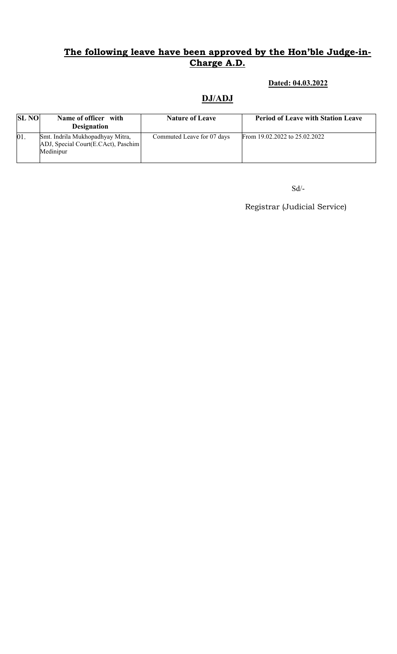### Dated: 04.03.2022

### DJ/ADJ

| <b>SL NO</b> | Name of officer with<br><b>Designation</b>                                           | <b>Nature of Leave</b>     | <b>Period of Leave with Station Leave</b> |
|--------------|--------------------------------------------------------------------------------------|----------------------------|-------------------------------------------|
| 01           | Smt. Indrila Mukhopadhyay Mitra,<br>ADJ, Special Court(E.CAct), Paschim<br>Medinipur | Commuted Leave for 07 days | From 19.02.2022 to 25.02.2022             |

 $\mbox{Sd}/\mbox{-}$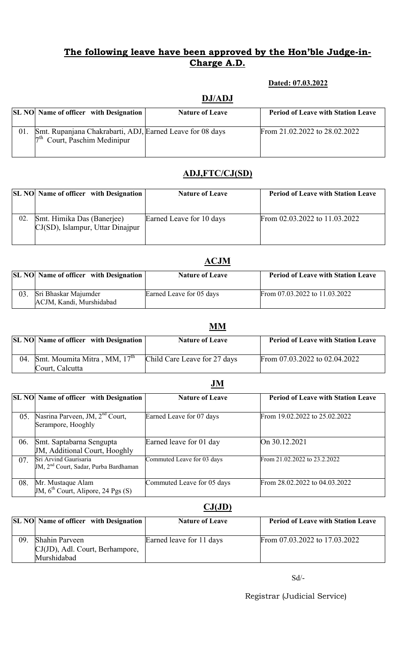### Dated: 07.03.2022

# DJ/ADJ SL NO Name of officer with Designation Nature of Leave Period of Leave with Station Leave 01. Smt. Rupanjana Chakrabarti, ADJ, 7<sup>th</sup> Court, Paschim Medinipur From 21.02.2022 to 28.02.2022

# ADJ,FTC/CJ(SD)

|    |                                                                   | <b>SL NO</b> Name of officer with Designation | <b>Nature of Leave</b>   | <b>Period of Leave with Station Leave</b> |
|----|-------------------------------------------------------------------|-----------------------------------------------|--------------------------|-------------------------------------------|
| 02 | Smt. Himika Das (Banerjee)<br>$CI(SD)$ , Islampur, Uttar Dinajpur |                                               | Earned Leave for 10 days | From $02.03.2022$ to $11.03.2022$         |

### ACJM

|    | <b>SL NO</b> Name of officer with Designation    | <b>Nature of Leave</b>   | <b>Period of Leave with Station Leave</b> |
|----|--------------------------------------------------|--------------------------|-------------------------------------------|
| 03 | Sri Bhaskar Majumder<br>ACJM, Kandi, Murshidabad | Earned Leave for 05 days | From 07.03.2022 to 11.03.2022             |

|     |                                               | <b>NIM</b>                   |                                           |
|-----|-----------------------------------------------|------------------------------|-------------------------------------------|
|     | <b>SL NO</b> Name of officer with Designation | <b>Nature of Leave</b>       | <b>Period of Leave with Station Leave</b> |
|     |                                               |                              |                                           |
| 04. | Smt. Moumita Mitra, MM, 17 <sup>th</sup>      | Child Care Leave for 27 days | From 07.03.2022 to 02.04.2022             |
|     | Court, Calcutta                               |                              |                                           |

|     | <b>SL NO</b> Name of officer with Designation                              | <b>Nature of Leave</b>     | <b>Period of Leave with Station Leave</b> |
|-----|----------------------------------------------------------------------------|----------------------------|-------------------------------------------|
| 05. | Nasrina Parveen, JM, 2 <sup>nd</sup> Court,<br>Serampore, Hooghly          | Earned Leave for 07 days   | From 19.02.2022 to 25.02.2022             |
| 06. | Smt. Saptabarna Sengupta<br>JM, Additional Court, Hooghly                  | Earned leave for 01 day    | On 30.12.2021                             |
| 07. | Sri Arvind Gaurisaria<br>JM, 2 <sup>nd</sup> Court, Sadar, Purba Bardhaman | Commuted Leave for 03 days | From 21.02.2022 to 23.2.2022              |
| 08. | Mr. Mustaque Alam<br>JM, $6^{th}$ Court, Alipore, 24 Pgs (S)               | Commuted Leave for 05 days | From 28.02.2022 to 04.03.2022             |

## $CJ(JD)$

|     | <b>SL NO</b> Name of officer with Designation                    | <b>Nature of Leave</b>   | <b>Period of Leave with Station Leave</b> |
|-----|------------------------------------------------------------------|--------------------------|-------------------------------------------|
| 09. | Shahin Parveen<br>CJ(JD), Adl. Court, Berhampore,<br>Murshidabad | Earned leave for 11 days | From 07.03.2022 to 17.03.2022             |

Sd/-

Registrar (Judicial Service)

# JM

**MAM**